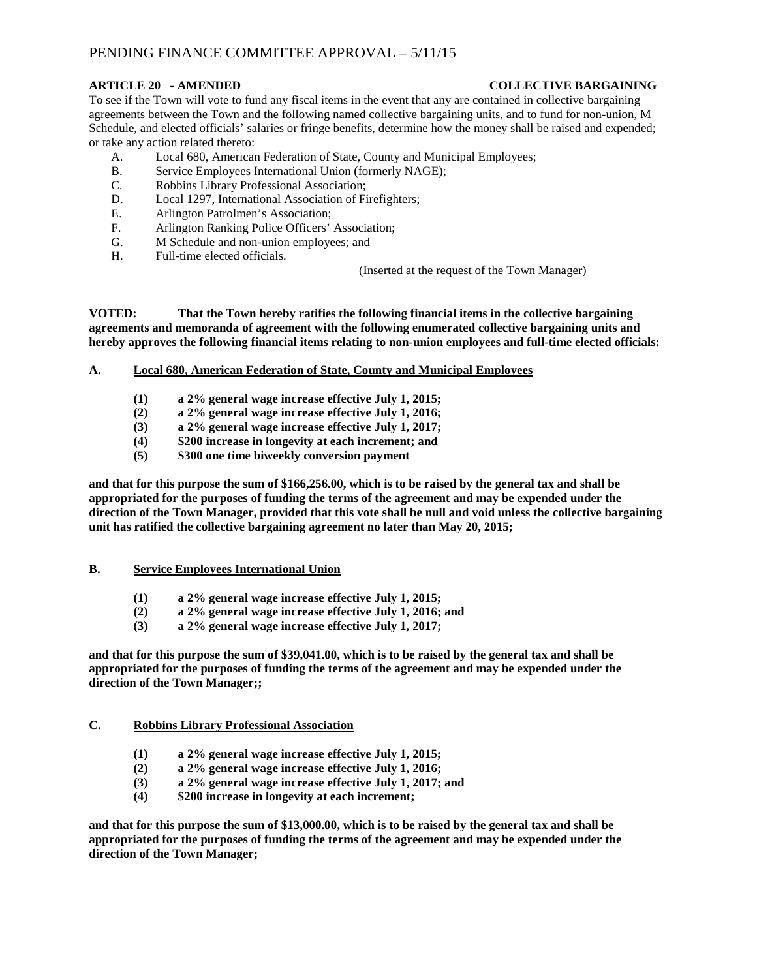# PENDING FINANCE COMMITTEE APPROVAL – 5/11/15

## **ARTICLE 20 - AMENDED COLLECTIVE BARGAINING**

To see if the Town will vote to fund any fiscal items in the event that any are contained in collective bargaining agreements between the Town and the following named collective bargaining units, and to fund for non-union, M Schedule, and elected officials' salaries or fringe benefits, determine how the money shall be raised and expended; or take any action related thereto:

- A. Local 680, American Federation of State, County and Municipal Employees;
- B. Service Employees International Union (formerly NAGE);
- C. Robbins Library Professional Association;
- D. Local 1297, International Association of Firefighters;
- E. Arlington Patrolmen's Association;
- F. Arlington Ranking Police Officers' Association;
- G. M Schedule and non-union employees; and
- H. Full-time elected officials.

(Inserted at the request of the Town Manager)

**VOTED: That the Town hereby ratifies the following financial items in the collective bargaining agreements and memoranda of agreement with the following enumerated collective bargaining units and hereby approves the following financial items relating to non-union employees and full-time elected officials:**

## **A. Local 680, American Federation of State, County and Municipal Employees**

- **(1) a 2% general wage increase effective July 1, 2015;**
- **(2) a 2% general wage increase effective July 1, 2016;**
- **(3) a 2% general wage increase effective July 1, 2017;**
- **(4) \$200 increase in longevity at each increment; and**
- **(5) \$300 one time biweekly conversion payment**

**and that for this purpose the sum of \$166,256.00, which is to be raised by the general tax and shall be appropriated for the purposes of funding the terms of the agreement and may be expended under the direction of the Town Manager, provided that this vote shall be null and void unless the collective bargaining unit has ratified the collective bargaining agreement no later than May 20, 2015;**

#### **B. Service Employees International Union**

- **(1) a 2% general wage increase effective July 1, 2015;**
- **(2) a 2% general wage increase effective July 1, 2016; and**
- **(3) a 2% general wage increase effective July 1, 2017;**

**and that for this purpose the sum of \$39,041.00, which is to be raised by the general tax and shall be appropriated for the purposes of funding the terms of the agreement and may be expended under the direction of the Town Manager;;**

## **C. Robbins Library Professional Association**

- **(1) a 2% general wage increase effective July 1, 2015;**
- **(2) a 2% general wage increase effective July 1, 2016;**
- **(3) a 2% general wage increase effective July 1, 2017; and**
- **(4) \$200 increase in longevity at each increment;**

**and that for this purpose the sum of \$13,000.00, which is to be raised by the general tax and shall be appropriated for the purposes of funding the terms of the agreement and may be expended under the direction of the Town Manager;**